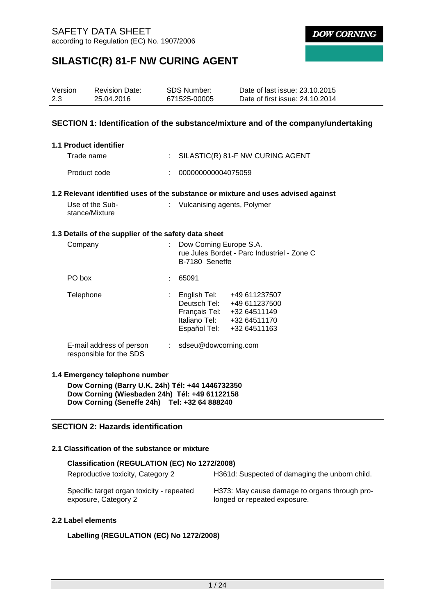# **SILASTIC(R) 81-F NW CURING AGENT**

| Version | <b>Revision Date:</b> | SDS Number:  | Date of last issue: 23.10.2015  |
|---------|-----------------------|--------------|---------------------------------|
| 2.3     | 25.04.2016            | 671525-00005 | Date of first issue: 24.10.2014 |

### **SECTION 1: Identification of the substance/mixture and of the company/undertaking**

| <b>1.1 Product identifier</b> |                                                                              |
|-------------------------------|------------------------------------------------------------------------------|
| Trade name                    | : SILASTIC(R) 81-F NW CURING AGENT                                           |
| Product code                  | : 000000000004075059                                                         |
|                               | 1.2 Relevant identified uses of the substance or mixture and uses advised ag |

### **1.2 Relevant identified uses of the substance or mixture and uses advised against**

| Use of the Sub- | Vulcanising agents, Polymer |
|-----------------|-----------------------------|
| stance/Mixture  |                             |

#### **1.3 Details of the supplier of the safety data sheet**

| Company                                             | t. | Dow Corning Europe S.A.<br>rue Jules Bordet - Parc Industriel - Zone C<br>B-7180 Seneffe |                                                                                |  |
|-----------------------------------------------------|----|------------------------------------------------------------------------------------------|--------------------------------------------------------------------------------|--|
| PO box                                              |    | 65091                                                                                    |                                                                                |  |
| Telephone                                           | t. | English Tel:<br>Deutsch Tel:<br>Français Tel:<br>Italiano Tel: I<br>Español Tel:         | +49 611237507<br>+49 611237500<br>+32 64511149<br>+32 64511170<br>+32 64511163 |  |
| E-mail address of person<br>responsible for the SDS | ÷. | sdseu@dowcorning.com                                                                     |                                                                                |  |

#### **1.4 Emergency telephone number**

**Dow Corning (Barry U.K. 24h) Tél: +44 1446732350 Dow Corning (Wiesbaden 24h) Tél: +49 61122158 Dow Corning (Seneffe 24h) Tel: +32 64 888240**

## **SECTION 2: Hazards identification**

#### **2.1 Classification of the substance or mixture**

#### **Classification (REGULATION (EC) No 1272/2008)**

| Reproductive toxicity, Category 2 |  | H361d: Suspected of damaging the unborn child. |  |
|-----------------------------------|--|------------------------------------------------|--|
|                                   |  |                                                |  |

Specific target organ toxicity - repeated exposure, Category 2

H373: May cause damage to organs through prolonged or repeated exposure.

### **2.2 Label elements**

### **Labelling (REGULATION (EC) No 1272/2008)**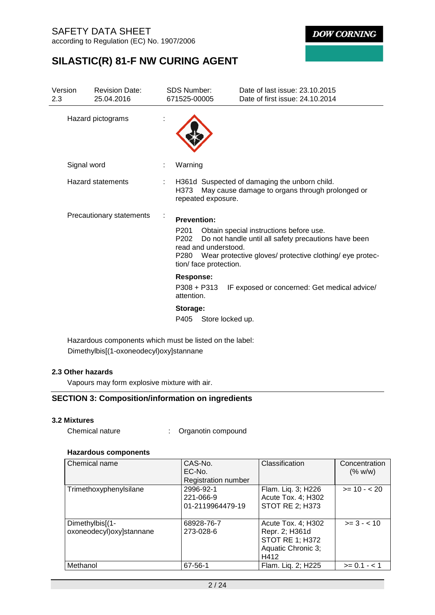# SAFETY DATA SHEET according to Regulation (EC) No. 1907/2006

**DOW CORNING** 

# **SILASTIC(R) 81-F NW CURING AGENT**

| Version<br>2.3           | <b>Revision Date:</b><br>25.04.2016 |              | <b>SDS Number:</b><br>671525-00005                                                                                             | Date of last issue: 23.10.2015<br>Date of first issue: 24.10.2014                                                                                                |  |
|--------------------------|-------------------------------------|--------------|--------------------------------------------------------------------------------------------------------------------------------|------------------------------------------------------------------------------------------------------------------------------------------------------------------|--|
|                          | Hazard pictograms                   |              |                                                                                                                                |                                                                                                                                                                  |  |
|                          | Signal word                         |              | Warning                                                                                                                        |                                                                                                                                                                  |  |
| <b>Hazard statements</b> |                                     |              | H361d Suspected of damaging the unborn child.<br>May cause damage to organs through prolonged or<br>H373<br>repeated exposure. |                                                                                                                                                                  |  |
|                          | Precautionary statements            | P201<br>P202 | <b>Prevention:</b><br>read and understood.<br>tion/ face protection.                                                           | Obtain special instructions before use.<br>Do not handle until all safety precautions have been<br>P280 Wear protective gloves/ protective clothing/ eye protec- |  |
|                          |                                     |              | <b>Response:</b><br>P308 + P313<br>attention.                                                                                  | IF exposed or concerned: Get medical advice/                                                                                                                     |  |
|                          |                                     | P405         | Storage:                                                                                                                       | Store locked up.                                                                                                                                                 |  |

Hazardous components which must be listed on the label: Dimethylbis[(1-oxoneodecyl)oxy]stannane

# **2.3 Other hazards**

Vapours may form explosive mixture with air.

# **SECTION 3: Composition/information on ingredients**

# **3.2 Mixtures**

| Chemical nature |  |  | Organotin compound |
|-----------------|--|--|--------------------|
|-----------------|--|--|--------------------|

### **Hazardous components**

| Chemical name                                 | CAS-No.<br>EC-No.<br><b>Registration number</b> | Classification                                                                               | Concentration<br>(% w/w) |
|-----------------------------------------------|-------------------------------------------------|----------------------------------------------------------------------------------------------|--------------------------|
| Trimethoxyphenylsilane                        | 2996-92-1<br>221-066-9<br>01-2119964479-19      | Flam. Liq. 3; H226<br>Acute Tox. 4; H302<br><b>STOT RE 2; H373</b>                           | $>= 10 - 20$             |
| Dimethylbis[(1-<br>oxoneodecyl) oxy] stannane | 68928-76-7<br>273-028-6                         | Acute Tox. 4; H302<br>Repr. 2; H361d<br><b>STOT RE 1; H372</b><br>Aquatic Chronic 3:<br>H412 | $>= 3 - 10$              |
| Methanol                                      | 67-56-1                                         | Flam. Liq. 2; H225                                                                           | $>= 0.1 - 1$             |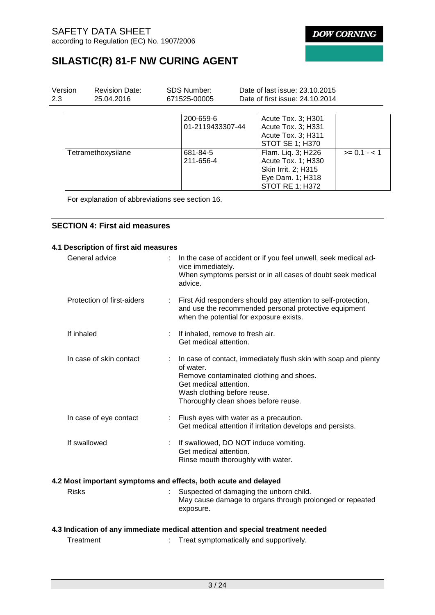# **SILASTIC(R) 81-F NW CURING AGENT**

| Version<br>2.3 | <b>Revision Date:</b><br>25.04.2016 | <b>SDS Number:</b><br>671525-00005 | Date of last issue: 23.10.2015<br>Date of first issue: 24.10.2014                                             |                |
|----------------|-------------------------------------|------------------------------------|---------------------------------------------------------------------------------------------------------------|----------------|
|                |                                     | 200-659-6<br>01-2119433307-44      | Acute Tox. 3; H301<br>Acute Tox. 3; H331<br>Acute Tox. 3; H311<br><b>STOT SE 1; H370</b>                      |                |
|                | Tetramethoxysilane                  | 681-84-5<br>211-656-4              | Flam. Liq. 3; H226<br>Acute Tox. 1; H330<br>Skin Irrit. 2; H315<br>Eye Dam. 1; H318<br><b>STOT RE 1; H372</b> | $>= 0.1 - 1.1$ |

For explanation of abbreviations see section 16.

# **SECTION 4: First aid measures**

| 4.1 Description of first aid measures                                          |  |                                                                                                                                                                                                                          |  |  |  |
|--------------------------------------------------------------------------------|--|--------------------------------------------------------------------------------------------------------------------------------------------------------------------------------------------------------------------------|--|--|--|
| General advice                                                                 |  | In the case of accident or if you feel unwell, seek medical ad-<br>vice immediately.<br>When symptoms persist or in all cases of doubt seek medical<br>advice.                                                           |  |  |  |
| Protection of first-aiders                                                     |  | First Aid responders should pay attention to self-protection,<br>and use the recommended personal protective equipment<br>when the potential for exposure exists.                                                        |  |  |  |
| If inhaled                                                                     |  | If inhaled, remove to fresh air.<br>Get medical attention.                                                                                                                                                               |  |  |  |
| In case of skin contact                                                        |  | In case of contact, immediately flush skin with soap and plenty<br>of water.<br>Remove contaminated clothing and shoes.<br>Get medical attention.<br>Wash clothing before reuse.<br>Thoroughly clean shoes before reuse. |  |  |  |
| In case of eye contact                                                         |  | Flush eyes with water as a precaution.<br>Get medical attention if irritation develops and persists.                                                                                                                     |  |  |  |
| If swallowed                                                                   |  | If swallowed, DO NOT induce vomiting.<br>Get medical attention.<br>Rinse mouth thoroughly with water.                                                                                                                    |  |  |  |
| 4.2 Most important symptoms and effects, both acute and delayed                |  |                                                                                                                                                                                                                          |  |  |  |
| <b>Risks</b>                                                                   |  | Suspected of damaging the unborn child.<br>May cause damage to organs through prolonged or repeated<br>exposure.                                                                                                         |  |  |  |
| 4.3 Indication of any immediate medical attention and special treatment needed |  |                                                                                                                                                                                                                          |  |  |  |
| Treatment                                                                      |  | Treat symptomatically and supportively.                                                                                                                                                                                  |  |  |  |
|                                                                                |  |                                                                                                                                                                                                                          |  |  |  |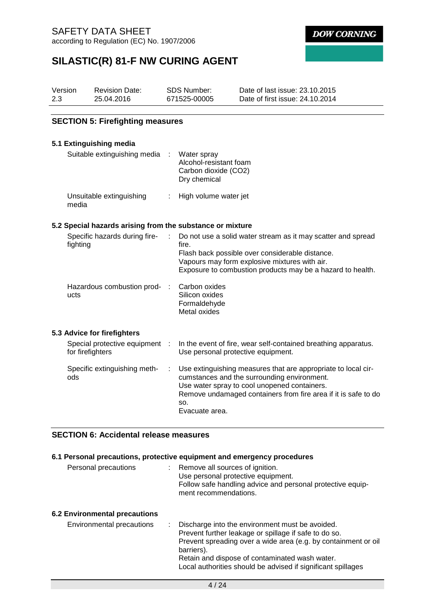# **SILASTIC(R) 81-F NW CURING AGENT**

| Version | <b>Revision Date:</b> | SDS Number:  | Date of last issue: 23.10.2015  |
|---------|-----------------------|--------------|---------------------------------|
| 2.3     | 25.04.2016            | 671525-00005 | Date of first issue: 24.10.2014 |

## **SECTION 5: Firefighting measures**

### **5.1 Extinguishing media**

| Suitable extinguishing media      | : Water spray<br>Alcohol-resistant foam<br>Carbon dioxide (CO2)<br>Dry chemical |
|-----------------------------------|---------------------------------------------------------------------------------|
| Unsuitable extinguishing<br>media | : High volume water jet                                                         |

### **5.2 Special hazards arising from the substance or mixture**

| Specific hazards during fire-<br>fighting  | : Do not use a solid water stream as it may scatter and spread<br>fire.<br>Flash back possible over considerable distance.<br>Vapours may form explosive mixtures with air.<br>Exposure to combustion products may be a hazard to health. |
|--------------------------------------------|-------------------------------------------------------------------------------------------------------------------------------------------------------------------------------------------------------------------------------------------|
| Hazardous combustion prod- : Carbon oxides |                                                                                                                                                                                                                                           |

| Hazardous combustion prod- : Carbon oxides |                |
|--------------------------------------------|----------------|
| ucts                                       | Silicon oxides |
|                                            | Formaldehyde   |
|                                            | Metal oxides   |

## **5.3 Advice for firefighters**

| Special protective equipment :<br>for firefighters | In the event of fire, wear self-contained breathing apparatus.<br>Use personal protective equipment.                                                                                                                                                    |
|----------------------------------------------------|---------------------------------------------------------------------------------------------------------------------------------------------------------------------------------------------------------------------------------------------------------|
| Specific extinguishing meth-<br>ods                | Use extinguishing measures that are appropriate to local cir-<br>cumstances and the surrounding environment.<br>Use water spray to cool unopened containers.<br>Remove undamaged containers from fire area if it is safe to do<br>SO.<br>Evacuate area. |

## **SECTION 6: Accidental release measures**

#### **6.1 Personal precautions, protective equipment and emergency procedures**

| Personal precautions                 | Remove all sources of ignition.<br>Use personal protective equipment.<br>Follow safe handling advice and personal protective equip-<br>ment recommendations.                                                                                                                                               |
|--------------------------------------|------------------------------------------------------------------------------------------------------------------------------------------------------------------------------------------------------------------------------------------------------------------------------------------------------------|
| <b>6.2 Environmental precautions</b> |                                                                                                                                                                                                                                                                                                            |
| Environmental precautions            | Discharge into the environment must be avoided.<br>Prevent further leakage or spillage if safe to do so.<br>Prevent spreading over a wide area (e.g. by containment or oil<br>barriers).<br>Retain and dispose of contaminated wash water.<br>Local authorities should be advised if significant spillages |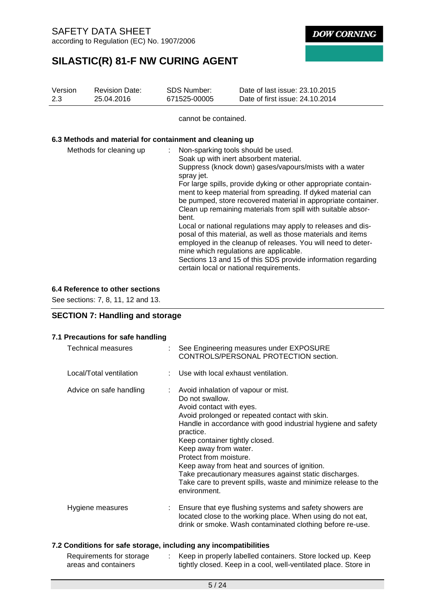# **SILASTIC(R) 81-F NW CURING AGENT**

| Version<br>2.3 | <b>Revision Date:</b><br>25.04.2016                      | <b>SDS Number:</b><br>671525-00005 | Date of last issue: 23.10.2015<br>Date of first issue: 24.10.2014                                                                                                                                                                                                                                                                                                                                                                                                                                                                                                                                                                                                                                                                                             |
|----------------|----------------------------------------------------------|------------------------------------|---------------------------------------------------------------------------------------------------------------------------------------------------------------------------------------------------------------------------------------------------------------------------------------------------------------------------------------------------------------------------------------------------------------------------------------------------------------------------------------------------------------------------------------------------------------------------------------------------------------------------------------------------------------------------------------------------------------------------------------------------------------|
|                |                                                          | cannot be contained.               |                                                                                                                                                                                                                                                                                                                                                                                                                                                                                                                                                                                                                                                                                                                                                               |
|                | 6.3 Methods and material for containment and cleaning up |                                    |                                                                                                                                                                                                                                                                                                                                                                                                                                                                                                                                                                                                                                                                                                                                                               |
|                | Methods for cleaning up                                  | ÷<br>spray jet.<br>bent.           | Non-sparking tools should be used.<br>Soak up with inert absorbent material.<br>Suppress (knock down) gases/vapours/mists with a water<br>For large spills, provide dyking or other appropriate contain-<br>ment to keep material from spreading. If dyked material can<br>be pumped, store recovered material in appropriate container.<br>Clean up remaining materials from spill with suitable absor-<br>Local or national regulations may apply to releases and dis-<br>posal of this material, as well as those materials and items<br>employed in the cleanup of releases. You will need to deter-<br>mine which regulations are applicable.<br>Sections 13 and 15 of this SDS provide information regarding<br>certain local or national requirements. |

### **6.4 Reference to other sections**

See sections: 7, 8, 11, 12 and 13.

# **SECTION 7: Handling and storage**

### **7.1 Precautions for safe handling**

| <b>Technical measures</b> | See Engineering measures under EXPOSURE<br>CONTROLS/PERSONAL PROTECTION section.                                                                                                                                                                                                                                                                                                                                                                                                                   |
|---------------------------|----------------------------------------------------------------------------------------------------------------------------------------------------------------------------------------------------------------------------------------------------------------------------------------------------------------------------------------------------------------------------------------------------------------------------------------------------------------------------------------------------|
| Local/Total ventilation   | Use with local exhaust ventilation.                                                                                                                                                                                                                                                                                                                                                                                                                                                                |
| Advice on safe handling   | Avoid inhalation of vapour or mist.<br>Do not swallow.<br>Avoid contact with eyes.<br>Avoid prolonged or repeated contact with skin.<br>Handle in accordance with good industrial hygiene and safety<br>practice.<br>Keep container tightly closed.<br>Keep away from water.<br>Protect from moisture.<br>Keep away from heat and sources of ignition.<br>Take precautionary measures against static discharges.<br>Take care to prevent spills, waste and minimize release to the<br>environment. |
| Hygiene measures          | Ensure that eye flushing systems and safety showers are<br>located close to the working place. When using do not eat,<br>drink or smoke. Wash contaminated clothing before re-use.                                                                                                                                                                                                                                                                                                                 |

## **7.2 Conditions for safe storage, including any incompatibilities**

| Requirements for storage | Keep in properly labelled containers. Store locked up. Keep     |
|--------------------------|-----------------------------------------------------------------|
| areas and containers     | tightly closed. Keep in a cool, well-ventilated place. Store in |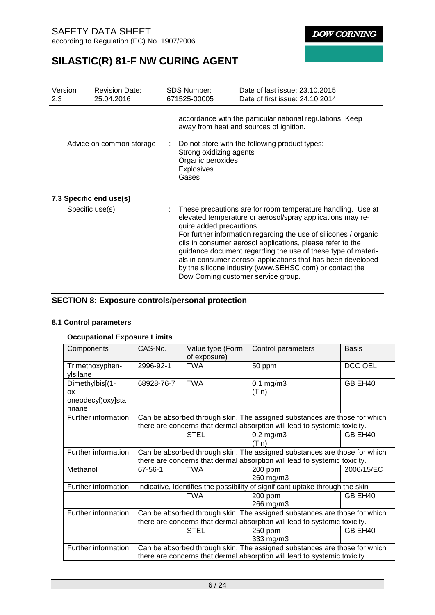# **SILASTIC(R) 81-F NW CURING AGENT**

| Version<br>2.3 | <b>Revision Date:</b><br>25.04.2016 | SDS Number:<br>671525-00005                                                | Date of last issue: 23.10.2015<br>Date of first issue: 24.10.2014                                                                                                                                                                                                                                                                                                                                                                                                                             |
|----------------|-------------------------------------|----------------------------------------------------------------------------|-----------------------------------------------------------------------------------------------------------------------------------------------------------------------------------------------------------------------------------------------------------------------------------------------------------------------------------------------------------------------------------------------------------------------------------------------------------------------------------------------|
|                |                                     |                                                                            | accordance with the particular national regulations. Keep<br>away from heat and sources of ignition.                                                                                                                                                                                                                                                                                                                                                                                          |
|                | Advice on common storage            | Strong oxidizing agents<br>Organic peroxides<br><b>Explosives</b><br>Gases | Do not store with the following product types:                                                                                                                                                                                                                                                                                                                                                                                                                                                |
|                | 7.3 Specific end use(s)             |                                                                            |                                                                                                                                                                                                                                                                                                                                                                                                                                                                                               |
|                | Specific use(s)                     | quire added precautions.                                                   | These precautions are for room temperature handling. Use at<br>elevated temperature or aerosol/spray applications may re-<br>For further information regarding the use of silicones / organic<br>oils in consumer aerosol applications, please refer to the<br>guidance document regarding the use of these type of materi-<br>als in consumer aerosol applications that has been developed<br>by the silicone industry (www.SEHSC.com) or contact the<br>Dow Corning customer service group. |

# **SECTION 8: Exposure controls/personal protection**

## **8.1 Control parameters**

### **Occupational Exposure Limits**

| Components                                            | CAS-No.                                                                                                                                                | Value type (Form<br>of exposure)                                                                                                                       | Control parameters                                                                                                                                     | <b>Basis</b> |  |
|-------------------------------------------------------|--------------------------------------------------------------------------------------------------------------------------------------------------------|--------------------------------------------------------------------------------------------------------------------------------------------------------|--------------------------------------------------------------------------------------------------------------------------------------------------------|--------------|--|
| Trimethoxyphen-<br>ylsilane                           | 2996-92-1                                                                                                                                              | TWA                                                                                                                                                    | 50 ppm                                                                                                                                                 | DCC OEL      |  |
| Dimethylbis[(1-<br>OX-<br>oneodecyl) oxy]sta<br>nnane | 68928-76-7                                                                                                                                             | <b>TWA</b>                                                                                                                                             | $0.1$ mg/m $3$<br>(Tin)                                                                                                                                | GB EH40      |  |
| Further information                                   |                                                                                                                                                        |                                                                                                                                                        | Can be absorbed through skin. The assigned substances are those for which<br>there are concerns that dermal absorption will lead to systemic toxicity. |              |  |
|                                                       |                                                                                                                                                        | <b>STEL</b>                                                                                                                                            | $0.2$ mg/m $3$<br>(Tin)                                                                                                                                | GB EH40      |  |
| Further information                                   |                                                                                                                                                        | Can be absorbed through skin. The assigned substances are those for which<br>there are concerns that dermal absorption will lead to systemic toxicity. |                                                                                                                                                        |              |  |
| Methanol                                              | 67-56-1                                                                                                                                                | <b>TWA</b>                                                                                                                                             | 200 ppm<br>260 mg/m3                                                                                                                                   | 2006/15/EC   |  |
| Further information                                   |                                                                                                                                                        |                                                                                                                                                        | Indicative, Identifies the possibility of significant uptake through the skin                                                                          |              |  |
|                                                       |                                                                                                                                                        | TWA                                                                                                                                                    | 200 ppm<br>266 mg/m3                                                                                                                                   | GB EH40      |  |
| Further information                                   | Can be absorbed through skin. The assigned substances are those for which<br>there are concerns that dermal absorption will lead to systemic toxicity. |                                                                                                                                                        |                                                                                                                                                        |              |  |
|                                                       |                                                                                                                                                        | <b>STEL</b>                                                                                                                                            | 250 ppm<br>333 mg/m3                                                                                                                                   | GB EH40      |  |
| Further information                                   | Can be absorbed through skin. The assigned substances are those for which<br>there are concerns that dermal absorption will lead to systemic toxicity. |                                                                                                                                                        |                                                                                                                                                        |              |  |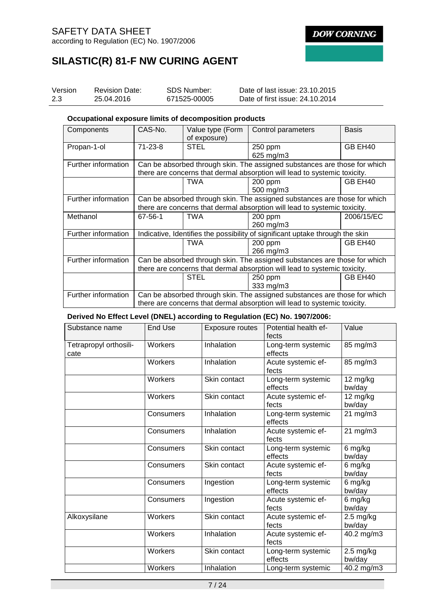

# **SILASTIC(R) 81-F NW CURING AGENT**

| Version | <b>Revision Date:</b> | SDS Number:  | Date of last issue: 23.10.2015  |
|---------|-----------------------|--------------|---------------------------------|
| 2.3     | 25.04.2016            | 671525-00005 | Date of first issue: 24.10.2014 |

### **Occupational exposure limits of decomposition products**

| Components          | CAS-No.                                                                                                                                                | Value type (Form<br>of exposure)                                                                                                                       | Control parameters   | <b>Basis</b> |  |
|---------------------|--------------------------------------------------------------------------------------------------------------------------------------------------------|--------------------------------------------------------------------------------------------------------------------------------------------------------|----------------------|--------------|--|
| Propan-1-ol         | $71 - 23 - 8$                                                                                                                                          | <b>STEL</b>                                                                                                                                            | 250 ppm<br>625 mg/m3 | GB EH40      |  |
| Further information |                                                                                                                                                        | Can be absorbed through skin. The assigned substances are those for which<br>there are concerns that dermal absorption will lead to systemic toxicity. |                      |              |  |
|                     |                                                                                                                                                        | <b>TWA</b>                                                                                                                                             | 200 ppm<br>500 mg/m3 | GB EH40      |  |
| Further information | Can be absorbed through skin. The assigned substances are those for which<br>there are concerns that dermal absorption will lead to systemic toxicity. |                                                                                                                                                        |                      |              |  |
| Methanol            | 67-56-1                                                                                                                                                | <b>TWA</b>                                                                                                                                             | 200 ppm<br>260 mg/m3 | 2006/15/EC   |  |
| Further information |                                                                                                                                                        | Indicative, Identifies the possibility of significant uptake through the skin                                                                          |                      |              |  |
|                     |                                                                                                                                                        | <b>TWA</b>                                                                                                                                             | 200 ppm<br>266 mg/m3 | GB EH40      |  |
| Further information | Can be absorbed through skin. The assigned substances are those for which<br>there are concerns that dermal absorption will lead to systemic toxicity. |                                                                                                                                                        |                      |              |  |
|                     |                                                                                                                                                        | <b>STEL</b>                                                                                                                                            | 250 ppm<br>333 mg/m3 | GB EH40      |  |
| Further information | Can be absorbed through skin. The assigned substances are those for which<br>there are concerns that dermal absorption will lead to systemic toxicity. |                                                                                                                                                        |                      |              |  |

# **Derived No Effect Level (DNEL) according to Regulation (EC) No. 1907/2006:**

| Substance name                 | <b>End Use</b> | <b>Exposure routes</b> | Potential health ef-<br>fects | Value                         |
|--------------------------------|----------------|------------------------|-------------------------------|-------------------------------|
| Tetrapropyl orthosili-<br>cate | Workers        | Inhalation             | Long-term systemic<br>effects | 85 mg/m3                      |
|                                | <b>Workers</b> | Inhalation             | Acute systemic ef-<br>fects   | 85 mg/m3                      |
|                                | Workers        | Skin contact           | Long-term systemic<br>effects | 12 mg/kg<br>bw/day            |
|                                | Workers        | Skin contact           | Acute systemic ef-<br>fects   | 12 mg/kg<br>bw/day            |
|                                | Consumers      | Inhalation             | Long-term systemic<br>effects | 21 mg/m3                      |
|                                | Consumers      | Inhalation             | Acute systemic ef-<br>fects   | 21 mg/m3                      |
|                                | Consumers      | Skin contact           | Long-term systemic<br>effects | 6 mg/kg<br>bw/day             |
|                                | Consumers      | Skin contact           | Acute systemic ef-<br>fects   | 6 mg/kg<br>bw/day             |
|                                | Consumers      | Ingestion              | Long-term systemic<br>effects | 6 mg/kg<br>bw/day             |
|                                | Consumers      | Ingestion              | Acute systemic ef-<br>fects   | 6 mg/kg<br>bw/day             |
| Alkoxysilane                   | <b>Workers</b> | Skin contact           | Acute systemic ef-<br>fects   | $2.5$ mg/kg<br>bw/day         |
|                                | Workers        | Inhalation             | Acute systemic ef-<br>fects   | 40.2 mg/m3                    |
|                                | Workers        | Skin contact           | Long-term systemic<br>effects | $2.5 \text{ mg/kg}$<br>bw/day |
|                                | Workers        | Inhalation             | Long-term systemic            | 40.2 mg/m3                    |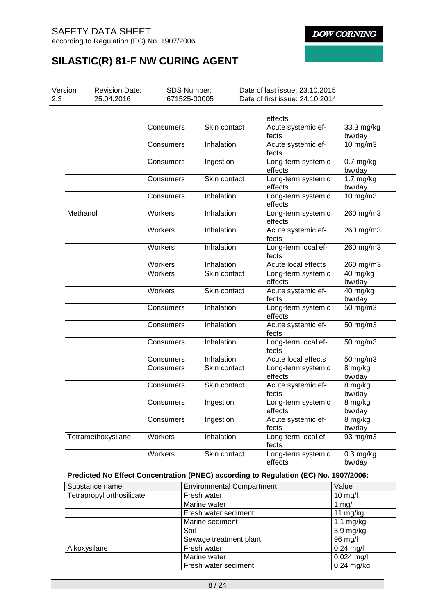# SAFETY DATA SHEET according to Regulation (EC) No. 1907/2006

**DOW CORNING** 

# **SILASTIC(R) 81-F NW CURING AGENT**

| Version  | <b>Revision Date:</b> | SDS Number:  |              | Date of last issue: 23.10.2015  |                                           |
|----------|-----------------------|--------------|--------------|---------------------------------|-------------------------------------------|
|          | 25.04.2016            | 671525-00005 |              | Date of first issue: 24.10.2014 |                                           |
|          |                       |              |              | effects                         |                                           |
|          |                       | Consumers    | Skin contact | Acute systemic ef-<br>fects     | 33.3 mg/kg<br>bw/day                      |
|          |                       | Consumers    | Inhalation   | Acute systemic ef-<br>fects     | $10$ mg/m $3$                             |
|          |                       | Consumers    | Ingestion    | Long-term systemic<br>effects   | $0.7$ mg/kg<br>bw/day                     |
|          |                       | Consumers    | Skin contact | Long-term systemic<br>effects   | $1.7 \frac{mg}{kg}$<br>bw/day             |
|          |                       | Consumers    | Inhalation   | Long-term systemic<br>effects   | $10$ mg/m $3$                             |
| Methanol |                       | Workers      | Inhalation   | Long-term systemic<br>effects   | 260 mg/m3                                 |
|          |                       | Workers      | Inhalation   | Acute systemic ef-<br>fects     | 260 mg/m3                                 |
|          |                       | Workers      | Inhalation   | Long-term local ef-<br>fects    | 260 mg/m3                                 |
|          |                       | Workers      | Inhalation   | Acute local effects             | 260 mg/m3                                 |
|          |                       | Workers      | Skin contact | Long-term systemic<br>effects   | 40 mg/kg<br>bw/day                        |
|          |                       | Workers      | Skin contact | Acute systemic ef-<br>fects     | 40 mg/kg<br>bw/day                        |
|          |                       | Consumers    | Inhalation   | Long-term systemic<br>effects   | $50$ mg/m $3$                             |
|          |                       | Consumers    | Inhalation   | Acute systemic ef-<br>fects     | $50$ mg/m $3$                             |
|          |                       | Consumers    | Inhalation   | Long-term local ef-<br>fects    | 50 mg/m3                                  |
|          |                       | Consumers    | Inhalation   | Acute local effects             | 50 mg/m3                                  |
|          |                       | Consumers    | Skin contact | Long-term systemic<br>effects   | 8 mg/kg<br>bw/day                         |
|          |                       | Consumers    | Skin contact | Acute systemic ef-<br>fects     | $8 \frac{\text{mg}}{\text{kg}}$<br>bw/day |
|          |                       | Consumers    | Ingestion    | Long-term systemic<br>effects   | 8 mg/kg<br>bw/day                         |
|          |                       | Consumers    | Ingestion    | Acute systemic ef-<br>fects     | 8 mg/kg<br>bw/day                         |
|          | Tetramethoxysilane    | Workers      | Inhalation   | Long-term local ef-<br>fects    | 93 mg/m3                                  |
|          |                       | Workers      | Skin contact | Long-term systemic<br>effects   | $0.3$ mg/kg<br>bw/day                     |

# **Predicted No Effect Concentration (PNEC) according to Regulation (EC) No. 1907/2006:**

| Substance name            | <b>Environmental Compartment</b> | Value                  |
|---------------------------|----------------------------------|------------------------|
| Tetrapropyl orthosilicate | Fresh water                      | $10$ mg/l              |
|                           | Marine water                     | 1 $mg/l$               |
|                           | Fresh water sediment             | 11 $mg/kg$             |
|                           | Marine sediment                  | 1.1 $mg/kg$            |
|                           | Soil                             | $3.9 \,\mathrm{mg/kg}$ |
|                           | Sewage treatment plant           | 96 mg/l                |
| Alkoxysilane              | Fresh water                      | $0.24$ mg/l            |
|                           | Marine water                     | $0.024$ mg/l           |
|                           | Fresh water sediment             | $0.24$ mg/kg           |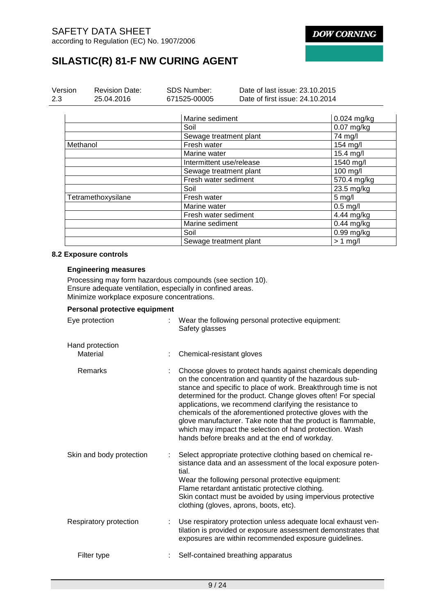# SAFETY DATA SHEET

according to Regulation (EC) No. 1907/2006

**DOW CORNING** 

# **SILASTIC(R) 81-F NW CURING AGENT**

| Version<br>2.3 | <b>Revision Date:</b><br>25.04.2016 | <b>SDS Number:</b><br>671525-00005 | Date of last issue: 23.10.2015<br>Date of first issue: 24.10.2014 |               |
|----------------|-------------------------------------|------------------------------------|-------------------------------------------------------------------|---------------|
|                |                                     | Marine sediment                    |                                                                   | $0.024$ mg/kg |
|                |                                     | Soil                               |                                                                   | $0.07$ mg/kg  |
|                |                                     |                                    | Sewage treatment plant<br>Fresh water                             |               |
|                | Methanol                            |                                    |                                                                   |               |
|                |                                     |                                    | Marine water                                                      |               |
|                |                                     |                                    | Intermittent use/release                                          |               |
|                |                                     |                                    | Sewage treatment plant                                            |               |
|                |                                     | Fresh water sediment               |                                                                   | 570.4 mg/kg   |
|                |                                     | Soil                               |                                                                   | $23.5$ mg/kg  |
|                | Tetramethoxysilane                  | Fresh water                        |                                                                   | $5$ mg/l      |
|                |                                     | Marine water                       |                                                                   | $0.5$ mg/l    |
|                |                                     |                                    | Fresh water sediment                                              |               |
|                |                                     | Marine sediment                    |                                                                   | $0.44$ mg/kg  |
|                |                                     | Soil                               |                                                                   | $0.99$ mg/kg  |
|                |                                     | Sewage treatment plant             |                                                                   | $> 1$ mg/l    |

## **8.2 Exposure controls**

## **Engineering measures**

Processing may form hazardous compounds (see section 10). Ensure adequate ventilation, especially in confined areas. Minimize workplace exposure concentrations.

### **Personal protective equipment**

| Eye protection              | Wear the following personal protective equipment:<br>Safety glasses                                                                                                                                                                                                                                                                                                                                                                                                                                                                                           |
|-----------------------------|---------------------------------------------------------------------------------------------------------------------------------------------------------------------------------------------------------------------------------------------------------------------------------------------------------------------------------------------------------------------------------------------------------------------------------------------------------------------------------------------------------------------------------------------------------------|
| Hand protection<br>Material | Chemical-resistant gloves                                                                                                                                                                                                                                                                                                                                                                                                                                                                                                                                     |
| Remarks                     | Choose gloves to protect hands against chemicals depending<br>on the concentration and quantity of the hazardous sub-<br>stance and specific to place of work. Breakthrough time is not<br>determined for the product. Change gloves often! For special<br>applications, we recommend clarifying the resistance to<br>chemicals of the aforementioned protective gloves with the<br>glove manufacturer. Take note that the product is flammable,<br>which may impact the selection of hand protection. Wash<br>hands before breaks and at the end of workday. |
| Skin and body protection    | Select appropriate protective clothing based on chemical re-<br>sistance data and an assessment of the local exposure poten-<br>tial.<br>Wear the following personal protective equipment:<br>Flame retardant antistatic protective clothing.<br>Skin contact must be avoided by using impervious protective<br>clothing (gloves, aprons, boots, etc).                                                                                                                                                                                                        |
| Respiratory protection      | Use respiratory protection unless adequate local exhaust ven-<br>tilation is provided or exposure assessment demonstrates that<br>exposures are within recommended exposure guidelines.                                                                                                                                                                                                                                                                                                                                                                       |
| Filter type                 | Self-contained breathing apparatus                                                                                                                                                                                                                                                                                                                                                                                                                                                                                                                            |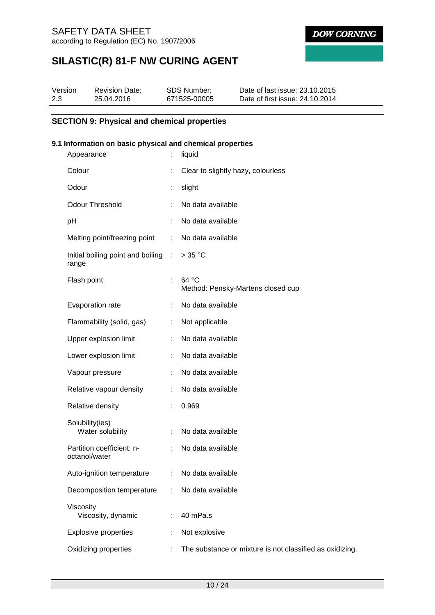# **SILASTIC(R) 81-F NW CURING AGENT**

| Version | <b>Revision Date:</b> | SDS Number:  | Date of last issue: 23.10.2015  |
|---------|-----------------------|--------------|---------------------------------|
| 2.3     | 25.04.2016            | 671525-00005 | Date of first issue: 24.10.2014 |

### **SECTION 9: Physical and chemical properties**

#### **9.1 Information on basic physical and chemical properties** Appearance : liquid

| Appearance                                   |                           | liyulu                                                   |
|----------------------------------------------|---------------------------|----------------------------------------------------------|
| Colour                                       |                           | Clear to slightly hazy, colourless                       |
| Odour                                        |                           | slight                                                   |
| <b>Odour Threshold</b>                       | ÷                         | No data available                                        |
| pH                                           |                           | No data available                                        |
| Melting point/freezing point                 | ÷                         | No data available                                        |
| Initial boiling point and boiling :<br>range |                           | > 35 °C                                                  |
| Flash point                                  | ÷                         | 64 °C<br>Method: Pensky-Martens closed cup               |
| Evaporation rate                             | ÷                         | No data available                                        |
| Flammability (solid, gas)                    | ÷                         | Not applicable                                           |
| Upper explosion limit                        |                           | No data available                                        |
| Lower explosion limit                        |                           | No data available                                        |
| Vapour pressure                              |                           | No data available                                        |
| Relative vapour density                      | t.                        | No data available                                        |
| Relative density                             |                           | 0.969                                                    |
| Solubility(ies)<br>Water solubility          |                           | No data available                                        |
| Partition coefficient: n-<br>octanol/water   |                           | No data available                                        |
| Auto-ignition temperature                    | $\mathbb{R}^{\mathbb{Z}}$ | No data available                                        |
| Decomposition temperature                    |                           | No data available                                        |
| Viscosity<br>Viscosity, dynamic              |                           | 40 mPa.s                                                 |
| <b>Explosive properties</b>                  |                           | Not explosive                                            |
| Oxidizing properties                         |                           | The substance or mixture is not classified as oxidizing. |
|                                              |                           |                                                          |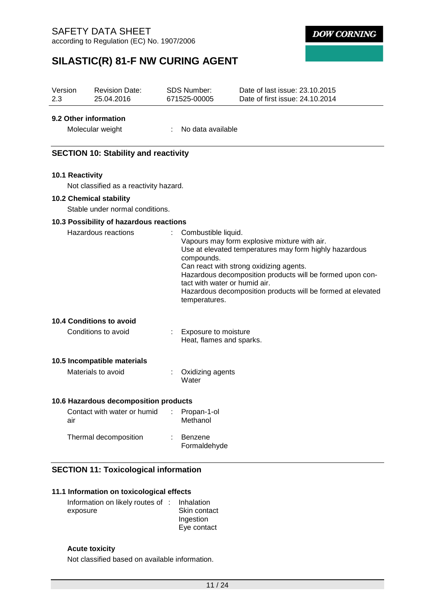# SAFETY DATA SHEET according to Regulation (EC) No. 1907/2006

**DOW CORNING** 

# **SILASTIC(R) 81-F NW CURING AGENT**

| Version<br>2.3 | <b>Revision Date:</b><br>25.04.2016          | <b>SDS Number:</b><br>671525-00005                                                  | Date of last issue: 23.10.2015<br>Date of first issue: 24.10.2014                                                                                                                                                                                                             |
|----------------|----------------------------------------------|-------------------------------------------------------------------------------------|-------------------------------------------------------------------------------------------------------------------------------------------------------------------------------------------------------------------------------------------------------------------------------|
|                | 9.2 Other information<br>Molecular weight    | No data available                                                                   |                                                                                                                                                                                                                                                                               |
|                | <b>SECTION 10: Stability and reactivity</b>  |                                                                                     |                                                                                                                                                                                                                                                                               |
|                | 10.1 Reactivity                              |                                                                                     |                                                                                                                                                                                                                                                                               |
|                | Not classified as a reactivity hazard.       |                                                                                     |                                                                                                                                                                                                                                                                               |
|                | <b>10.2 Chemical stability</b>               |                                                                                     |                                                                                                                                                                                                                                                                               |
|                | Stable under normal conditions.              |                                                                                     |                                                                                                                                                                                                                                                                               |
|                | 10.3 Possibility of hazardous reactions      |                                                                                     |                                                                                                                                                                                                                                                                               |
|                | <b>Hazardous reactions</b>                   | Combustible liquid.<br>compounds.<br>tact with water or humid air.<br>temperatures. | Vapours may form explosive mixture with air.<br>Use at elevated temperatures may form highly hazardous<br>Can react with strong oxidizing agents.<br>Hazardous decomposition products will be formed upon con-<br>Hazardous decomposition products will be formed at elevated |
|                | <b>10.4 Conditions to avoid</b>              |                                                                                     |                                                                                                                                                                                                                                                                               |
|                | Conditions to avoid                          | Exposure to moisture<br>Heat, flames and sparks.                                    |                                                                                                                                                                                                                                                                               |
|                | 10.5 Incompatible materials                  |                                                                                     |                                                                                                                                                                                                                                                                               |
|                | Materials to avoid                           | Oxidizing agents<br>Water                                                           |                                                                                                                                                                                                                                                                               |
|                | 10.6 Hazardous decomposition products        |                                                                                     |                                                                                                                                                                                                                                                                               |
| air            | Contact with water or humid                  | Propan-1-ol<br>Methanol                                                             |                                                                                                                                                                                                                                                                               |
|                | Thermal decomposition                        | <b>Benzene</b><br>Formaldehyde                                                      |                                                                                                                                                                                                                                                                               |
|                | <b>SECTION 11: Toxicological information</b> |                                                                                     |                                                                                                                                                                                                                                                                               |

# **11.1 Information on toxicological effects**

| Information on likely routes of : Inhalation |              |
|----------------------------------------------|--------------|
| exposure                                     | Skin contact |
|                                              | Ingestion    |
|                                              | Eye contact  |

### **Acute toxicity**

Not classified based on available information.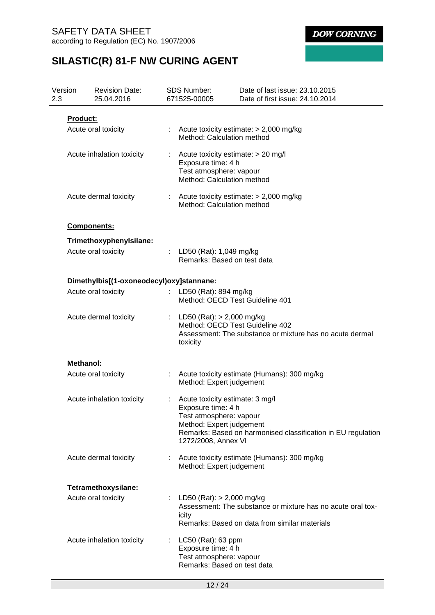# **SILASTIC(R) 81-F NW CURING AGENT**

| 2.3 | Version                   | <b>Revision Date:</b><br>25.04.2016      | <b>SDS Number:</b><br>671525-00005                                                                                                  | Date of last issue: 23.10.2015<br>Date of first issue: 24.10.2014                                            |
|-----|---------------------------|------------------------------------------|-------------------------------------------------------------------------------------------------------------------------------------|--------------------------------------------------------------------------------------------------------------|
|     | Product:                  |                                          |                                                                                                                                     |                                                                                                              |
|     |                           | Acute oral toxicity                      | Method: Calculation method                                                                                                          | : Acute toxicity estimate: $> 2,000$ mg/kg                                                                   |
|     | Acute inhalation toxicity |                                          | : Acute toxicity estimate: $> 20$ mg/l<br>Exposure time: 4 h<br>Test atmosphere: vapour<br>Method: Calculation method               |                                                                                                              |
|     |                           | Acute dermal toxicity                    | Method: Calculation method                                                                                                          | : Acute toxicity estimate: $> 2,000$ mg/kg                                                                   |
|     |                           | Components:                              |                                                                                                                                     |                                                                                                              |
|     |                           | Trimethoxyphenylsilane:                  |                                                                                                                                     |                                                                                                              |
|     |                           | Acute oral toxicity                      | : LD50 (Rat): 1,049 mg/kg<br>Remarks: Based on test data                                                                            |                                                                                                              |
|     |                           | Dimethylbis[(1-oxoneodecyl)oxy]stannane: |                                                                                                                                     |                                                                                                              |
|     |                           | Acute oral toxicity                      | : LD50 (Rat): 894 mg/kg                                                                                                             | Method: OECD Test Guideline 401                                                                              |
|     |                           | Acute dermal toxicity                    | LD50 (Rat): $> 2,000$ mg/kg<br>toxicity                                                                                             | Method: OECD Test Guideline 402<br>Assessment: The substance or mixture has no acute dermal                  |
|     | <b>Methanol:</b>          |                                          |                                                                                                                                     |                                                                                                              |
|     |                           | Acute oral toxicity                      | Method: Expert judgement                                                                                                            | Acute toxicity estimate (Humans): 300 mg/kg                                                                  |
|     |                           | Acute inhalation toxicity                | Acute toxicity estimate: 3 mg/l<br>Exposure time: 4 h<br>Test atmosphere: vapour<br>Method: Expert judgement<br>1272/2008, Annex VI | Remarks: Based on harmonised classification in EU regulation                                                 |
|     |                           | Acute dermal toxicity                    | Method: Expert judgement                                                                                                            | : Acute toxicity estimate (Humans): 300 mg/kg                                                                |
|     |                           | Tetramethoxysilane:                      |                                                                                                                                     |                                                                                                              |
|     |                           | Acute oral toxicity                      | : LD50 (Rat): $> 2,000$ mg/kg<br>icity                                                                                              | Assessment: The substance or mixture has no acute oral tox-<br>Remarks: Based on data from similar materials |
|     |                           | Acute inhalation toxicity                | LC50 (Rat): 63 ppm<br>Exposure time: 4 h<br>Test atmosphere: vapour<br>Remarks: Based on test data                                  |                                                                                                              |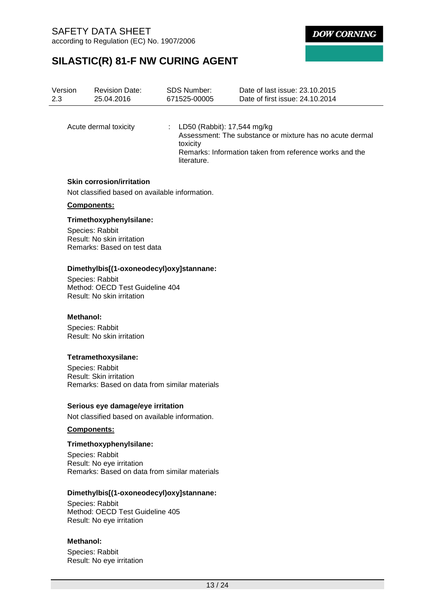# **SILASTIC(R) 81-F NW CURING AGENT**

| Version | <b>Revision Date:</b> | <b>SDS Number:</b>                                         | Date of last issue: 23.10.2015                                                                                      |
|---------|-----------------------|------------------------------------------------------------|---------------------------------------------------------------------------------------------------------------------|
| 2.3     | 25.04.2016            | 671525-00005                                               | Date of first issue: 24.10.2014                                                                                     |
|         | Acute dermal toxicity | : LD50 (Rabbit): $17,544$ mg/kg<br>toxicity<br>literature. | Assessment: The substance or mixture has no acute dermal<br>Remarks: Information taken from reference works and the |

# **Skin corrosion/irritation**

Not classified based on available information.

#### **Components:**

### **Trimethoxyphenylsilane:**

Species: Rabbit Result: No skin irritation Remarks: Based on test data

#### **Dimethylbis[(1-oxoneodecyl)oxy]stannane:**

Species: Rabbit Method: OECD Test Guideline 404 Result: No skin irritation

#### **Methanol:**

Species: Rabbit Result: No skin irritation

#### **Tetramethoxysilane:**

Species: Rabbit Result: Skin irritation Remarks: Based on data from similar materials

#### **Serious eye damage/eye irritation**

Not classified based on available information.

### **Components:**

#### **Trimethoxyphenylsilane:**

Species: Rabbit Result: No eye irritation Remarks: Based on data from similar materials

#### **Dimethylbis[(1-oxoneodecyl)oxy]stannane:**

Species: Rabbit Method: OECD Test Guideline 405 Result: No eye irritation

#### **Methanol:**

Species: Rabbit Result: No eye irritation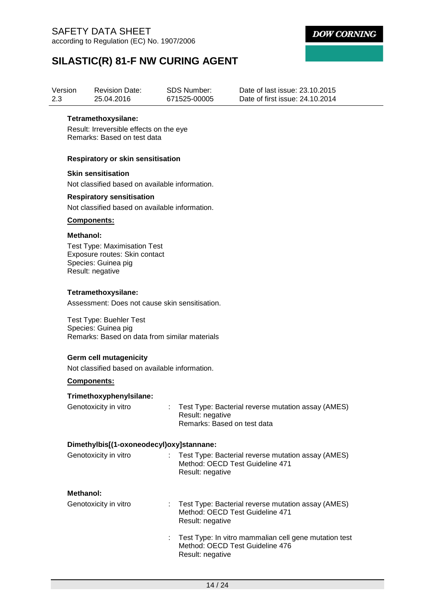# SAFETY DATA SHEET according to Regulation (EC) No. 1907/2006

**DOW CORNING** 

# **SILASTIC(R) 81-F NW CURING AGENT**

| Version | <b>Revision Date:</b> | SDS Number:  | Date of last issue: 23.10.2015  |
|---------|-----------------------|--------------|---------------------------------|
| 2.3     | 25.04.2016            | 671525-00005 | Date of first issue: 24.10.2014 |

#### **Tetramethoxysilane:**

Result: Irreversible effects on the eye Remarks: Based on test data

### **Respiratory or skin sensitisation**

#### **Skin sensitisation**

Not classified based on available information.

### **Respiratory sensitisation**

Not classified based on available information.

### **Components:**

#### **Methanol:**

Test Type: Maximisation Test Exposure routes: Skin contact Species: Guinea pig Result: negative

#### **Tetramethoxysilane:**

Assessment: Does not cause skin sensitisation.

Test Type: Buehler Test Species: Guinea pig Remarks: Based on data from similar materials

#### **Germ cell mutagenicity**

Not classified based on available information.

### **Components:**

## **Trimethoxyphenylsilane:**

| Genotoxicity in vitro | : Test Type: Bacterial reverse mutation assay (AMES) |  |
|-----------------------|------------------------------------------------------|--|
|                       | Result: negative                                     |  |
|                       | Remarks: Based on test data                          |  |
|                       |                                                      |  |

### **Dimethylbis[(1-oxoneodecyl)oxy]stannane:**

| Genotoxicity in vitro | : Test Type: Bacterial reverse mutation assay (AMES)<br>Method: OECD Test Guideline 471<br>Result: negative  |
|-----------------------|--------------------------------------------------------------------------------------------------------------|
| Methanol:             |                                                                                                              |
| Genotoxicity in vitro | : Test Type: Bacterial reverse mutation assay (AMES)<br>Method: OECD Test Guideline 471<br>Result: negative  |
|                       | Test Type: In vitro mammalian cell gene mutation test<br>Method: OECD Test Guideline 476<br>Result: negative |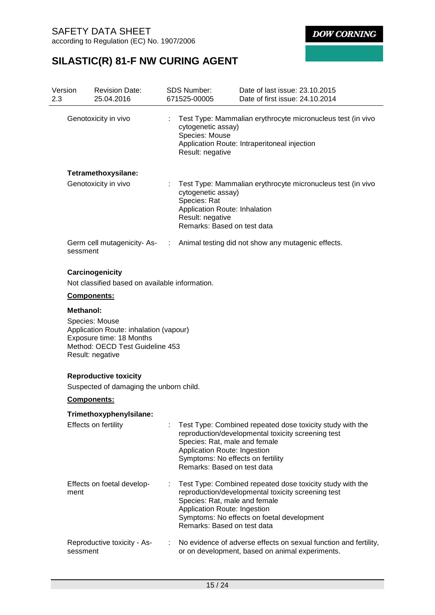# **SILASTIC(R) 81-F NW CURING AGENT**

| Version<br>2.3 |                      | <b>Revision Date:</b><br>25.04.2016                                                                                                         |   | <b>SDS Number:</b><br>671525-00005                                                                                                                                      | Date of last issue: 23.10.2015<br>Date of first issue: 24.10.2014                                                                                             |  |  |
|----------------|----------------------|---------------------------------------------------------------------------------------------------------------------------------------------|---|-------------------------------------------------------------------------------------------------------------------------------------------------------------------------|---------------------------------------------------------------------------------------------------------------------------------------------------------------|--|--|
|                | Genotoxicity in vivo |                                                                                                                                             |   | Test Type: Mammalian erythrocyte micronucleus test (in vivo<br>cytogenetic assay)<br>Species: Mouse<br>Application Route: Intraperitoneal injection<br>Result: negative |                                                                                                                                                               |  |  |
|                |                      | Tetramethoxysilane:                                                                                                                         |   |                                                                                                                                                                         |                                                                                                                                                               |  |  |
|                |                      | Genotoxicity in vivo                                                                                                                        |   | cytogenetic assay)<br>Species: Rat<br>Application Route: Inhalation<br>Result: negative<br>Remarks: Based on test data                                                  | Test Type: Mammalian erythrocyte micronucleus test (in vivo                                                                                                   |  |  |
|                | sessment             |                                                                                                                                             |   |                                                                                                                                                                         | Germ cell mutagenicity-As- : Animal testing did not show any mutagenic effects.                                                                               |  |  |
|                |                      | Carcinogenicity<br>Not classified based on available information.                                                                           |   |                                                                                                                                                                         |                                                                                                                                                               |  |  |
|                | Components:          |                                                                                                                                             |   |                                                                                                                                                                         |                                                                                                                                                               |  |  |
|                | <b>Methanol:</b>     | Species: Mouse<br>Application Route: inhalation (vapour)<br>Exposure time: 18 Months<br>Method: OECD Test Guideline 453<br>Result: negative |   |                                                                                                                                                                         |                                                                                                                                                               |  |  |
|                |                      | <b>Reproductive toxicity</b><br>Suspected of damaging the unborn child.                                                                     |   |                                                                                                                                                                         |                                                                                                                                                               |  |  |
|                | <b>Components:</b>   |                                                                                                                                             |   |                                                                                                                                                                         |                                                                                                                                                               |  |  |
|                |                      | Trimethoxyphenylsilane:                                                                                                                     |   |                                                                                                                                                                         |                                                                                                                                                               |  |  |
|                |                      | Effects on fertility                                                                                                                        |   | Species: Rat, male and female<br>Application Route: Ingestion<br>Symptoms: No effects on fertility<br>Remarks: Based on test data                                       | Test Type: Combined repeated dose toxicity study with the<br>reproduction/developmental toxicity screening test                                               |  |  |
|                | ment                 | Effects on foetal develop-                                                                                                                  |   | Species: Rat, male and female<br>Application Route: Ingestion<br>Remarks: Based on test data                                                                            | Test Type: Combined repeated dose toxicity study with the<br>reproduction/developmental toxicity screening test<br>Symptoms: No effects on foetal development |  |  |
|                | sessment             | Reproductive toxicity - As-                                                                                                                 | ÷ |                                                                                                                                                                         | No evidence of adverse effects on sexual function and fertility,<br>or on development, based on animal experiments.                                           |  |  |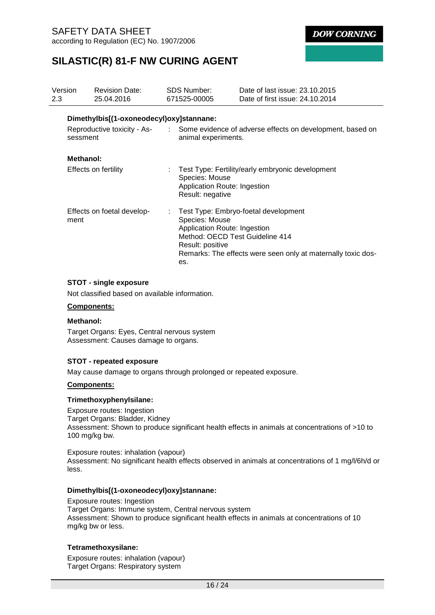# **SILASTIC(R) 81-F NW CURING AGENT**

| Version<br>2.3 | <b>Revision Date:</b><br>25.04.2016      |   | <b>SDS Number:</b><br>671525-00005                                        | Date of last issue: 23.10.2015<br>Date of first issue: 24.10.2014                                                                       |
|----------------|------------------------------------------|---|---------------------------------------------------------------------------|-----------------------------------------------------------------------------------------------------------------------------------------|
|                | Dimethylbis[(1-oxoneodecyl)oxy]stannane: |   |                                                                           |                                                                                                                                         |
| sessment       | Reproductive toxicity - As-              |   | animal experiments.                                                       | : Some evidence of adverse effects on development, based on                                                                             |
|                | Methanol:                                |   |                                                                           |                                                                                                                                         |
|                | Effects on fertility                     |   | Species: Mouse<br>Application Route: Ingestion<br>Result: negative        | Test Type: Fertility/early embryonic development                                                                                        |
| ment           | Effects on foetal develop-               | ÷ | Species: Mouse<br>Application Route: Ingestion<br>Result: positive<br>es. | Test Type: Embryo-foetal development<br>Method: OECD Test Guideline 414<br>Remarks: The effects were seen only at maternally toxic dos- |

#### **STOT - single exposure**

Not classified based on available information.

## **Components:**

#### **Methanol:**

Target Organs: Eyes, Central nervous system Assessment: Causes damage to organs.

### **STOT - repeated exposure**

May cause damage to organs through prolonged or repeated exposure.

#### **Components:**

#### **Trimethoxyphenylsilane:**

Exposure routes: Ingestion Target Organs: Bladder, Kidney Assessment: Shown to produce significant health effects in animals at concentrations of >10 to 100 mg/kg bw.

Exposure routes: inhalation (vapour) Assessment: No significant health effects observed in animals at concentrations of 1 mg/l/6h/d or less.

#### **Dimethylbis[(1-oxoneodecyl)oxy]stannane:**

Exposure routes: Ingestion Target Organs: Immune system, Central nervous system Assessment: Shown to produce significant health effects in animals at concentrations of 10 mg/kg bw or less.

#### **Tetramethoxysilane:**

Exposure routes: inhalation (vapour) Target Organs: Respiratory system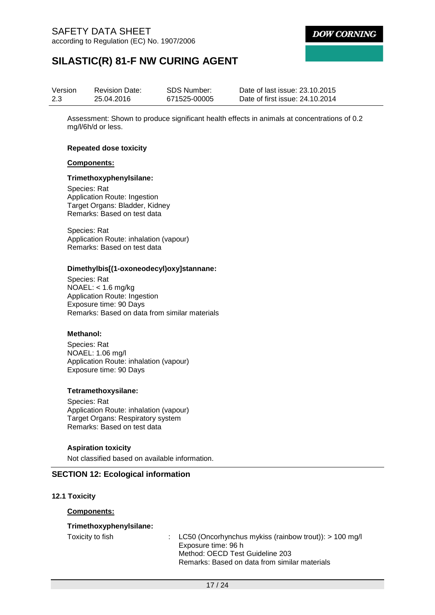

# **SILASTIC(R) 81-F NW CURING AGENT**

| Version | <b>Revision Date:</b> | SDS Number:  | Date of last issue: 23.10.2015  |
|---------|-----------------------|--------------|---------------------------------|
| 2.3     | 25.04.2016            | 671525-00005 | Date of first issue: 24.10.2014 |

Assessment: Shown to produce significant health effects in animals at concentrations of 0.2 mg/l/6h/d or less.

#### **Repeated dose toxicity**

#### **Components:**

#### **Trimethoxyphenylsilane:**

Species: Rat Application Route: Ingestion Target Organs: Bladder, Kidney Remarks: Based on test data

Species: Rat Application Route: inhalation (vapour) Remarks: Based on test data

#### **Dimethylbis[(1-oxoneodecyl)oxy]stannane:**

Species: Rat NOAEL: < 1.6 mg/kg Application Route: Ingestion Exposure time: 90 Days Remarks: Based on data from similar materials

#### **Methanol:**

Species: Rat NOAEL: 1.06 mg/l Application Route: inhalation (vapour) Exposure time: 90 Days

#### **Tetramethoxysilane:**

Species: Rat Application Route: inhalation (vapour) Target Organs: Respiratory system Remarks: Based on test data

#### **Aspiration toxicity**

Not classified based on available information.

#### **SECTION 12: Ecological information**

**12.1 Toxicity**

#### **Components:**

### **Trimethoxyphenylsilane:**

Toxicity to fish : LC50 (Oncorhynchus mykiss (rainbow trout)): > 100 mg/l Exposure time: 96 h Method: OECD Test Guideline 203 Remarks: Based on data from similar materials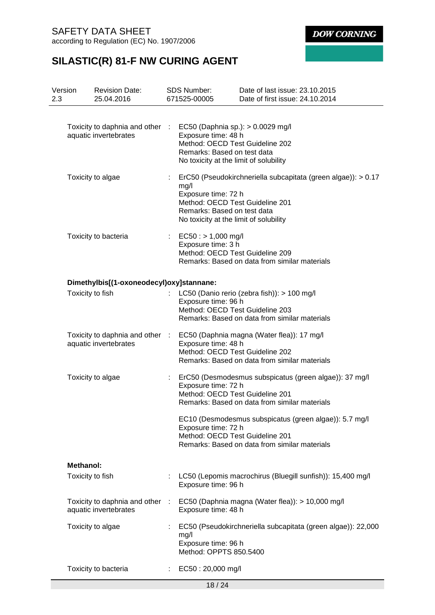# **SILASTIC(R) 81-F NW CURING AGENT**

| Version<br>2.3 | <b>Revision Date:</b><br>25.04.2016                      |    | <b>SDS Number:</b><br>671525-00005                                                                                                                                   | Date of last issue: 23.10.2015<br>Date of first issue: 24.10.2014                                       |
|----------------|----------------------------------------------------------|----|----------------------------------------------------------------------------------------------------------------------------------------------------------------------|---------------------------------------------------------------------------------------------------------|
|                | Toxicity to daphnia and other :<br>aquatic invertebrates |    | EC50 (Daphnia sp.): > 0.0029 mg/l<br>Exposure time: 48 h<br>Method: OECD Test Guideline 202<br>Remarks: Based on test data<br>No toxicity at the limit of solubility |                                                                                                         |
|                | Toxicity to algae                                        | ÷. | mg/l<br>Exposure time: 72 h<br>Method: OECD Test Guideline 201<br>Remarks: Based on test data<br>No toxicity at the limit of solubility                              | ErC50 (Pseudokirchneriella subcapitata (green algae)): > 0.17                                           |
|                | Toxicity to bacteria                                     |    | EC50 : > 1,000 mg/l<br>Exposure time: 3 h<br>Method: OECD Test Guideline 209                                                                                         | Remarks: Based on data from similar materials                                                           |
|                | Dimethylbis[(1-oxoneodecyl)oxy]stannane:                 |    |                                                                                                                                                                      |                                                                                                         |
|                | Toxicity to fish                                         |    | Exposure time: 96 h<br>Method: OECD Test Guideline 203                                                                                                               | LC50 (Danio rerio (zebra fish)): > 100 mg/l<br>Remarks: Based on data from similar materials            |
|                | Toxicity to daphnia and other :<br>aquatic invertebrates |    | Exposure time: 48 h<br>Method: OECD Test Guideline 202                                                                                                               | EC50 (Daphnia magna (Water flea)): 17 mg/l<br>Remarks: Based on data from similar materials             |
|                | Toxicity to algae                                        | ÷. | Exposure time: 72 h<br>Method: OECD Test Guideline 201                                                                                                               | ErC50 (Desmodesmus subspicatus (green algae)): 37 mg/l<br>Remarks: Based on data from similar materials |
|                |                                                          |    | Exposure time: 72 h<br>Method: OECD Test Guideline 201                                                                                                               | EC10 (Desmodesmus subspicatus (green algae)): 5.7 mg/l<br>Remarks: Based on data from similar materials |
|                | <b>Methanol:</b>                                         |    |                                                                                                                                                                      |                                                                                                         |
|                | Toxicity to fish                                         |    | Exposure time: 96 h                                                                                                                                                  | LC50 (Lepomis macrochirus (Bluegill sunfish)): 15,400 mg/l                                              |
|                | Toxicity to daphnia and other<br>aquatic invertebrates   |    | Exposure time: 48 h                                                                                                                                                  | EC50 (Daphnia magna (Water flea)): > 10,000 mg/l                                                        |
|                | Toxicity to algae                                        |    | mg/l<br>Exposure time: 96 h<br>Method: OPPTS 850.5400                                                                                                                | EC50 (Pseudokirchneriella subcapitata (green algae)): 22,000                                            |
|                | Toxicity to bacteria                                     |    | EC50: 20,000 mg/l                                                                                                                                                    |                                                                                                         |
|                |                                                          |    | 18/24                                                                                                                                                                |                                                                                                         |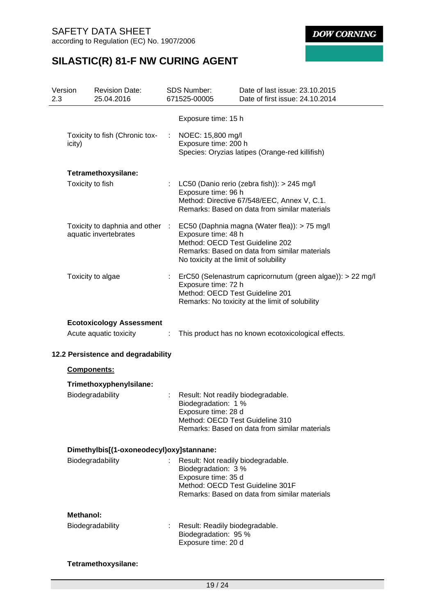# **SILASTIC(R) 81-F NW CURING AGENT**

| Version<br>2.3 |                  | <b>Revision Date:</b><br>25.04.2016                      |                       | <b>SDS Number:</b><br>671525-00005                                                                                  | Date of last issue: 23.10.2015<br>Date of first issue: 24.10.2014                                                                           |
|----------------|------------------|----------------------------------------------------------|-----------------------|---------------------------------------------------------------------------------------------------------------------|---------------------------------------------------------------------------------------------------------------------------------------------|
|                |                  |                                                          |                       | Exposure time: 15 h                                                                                                 |                                                                                                                                             |
|                | icity)           | Toxicity to fish (Chronic tox-                           | $\mathbb{Z}^{\times}$ | NOEC: 15,800 mg/l<br>Exposure time: 200 h                                                                           | Species: Oryzias latipes (Orange-red killifish)                                                                                             |
|                |                  | Tetramethoxysilane:                                      |                       |                                                                                                                     |                                                                                                                                             |
|                | Toxicity to fish |                                                          |                       | Exposure time: 96 h                                                                                                 | LC50 (Danio rerio (zebra fish)): > 245 mg/l<br>Method: Directive 67/548/EEC, Annex V, C.1.<br>Remarks: Based on data from similar materials |
|                |                  | Toxicity to daphnia and other :<br>aquatic invertebrates |                       | Exposure time: 48 h<br>Method: OECD Test Guideline 202<br>No toxicity at the limit of solubility                    | EC50 (Daphnia magna (Water flea)): > 75 mg/l<br>Remarks: Based on data from similar materials                                               |
|                |                  | Toxicity to algae                                        |                       | Exposure time: 72 h<br>Method: OECD Test Guideline 201                                                              | ErC50 (Selenastrum capricornutum (green algae)): > 22 mg/l<br>Remarks: No toxicity at the limit of solubility                               |
|                |                  | <b>Ecotoxicology Assessment</b>                          |                       |                                                                                                                     |                                                                                                                                             |
|                |                  | Acute aquatic toxicity                                   |                       |                                                                                                                     | This product has no known ecotoxicological effects.                                                                                         |
|                |                  | 12.2 Persistence and degradability                       |                       |                                                                                                                     |                                                                                                                                             |
|                | Components:      |                                                          |                       |                                                                                                                     |                                                                                                                                             |
|                |                  | Trimethoxyphenylsilane:                                  |                       |                                                                                                                     |                                                                                                                                             |
|                |                  | Biodegradability                                         |                       | Result: Not readily biodegradable.<br>Biodegradation: 1 %<br>Exposure time: 28 d<br>Method: OECD Test Guideline 310 | Remarks: Based on data from similar materials                                                                                               |
|                |                  | Dimethylbis[(1-oxoneodecyl)oxy]stannane:                 |                       |                                                                                                                     |                                                                                                                                             |
|                |                  | Biodegradability                                         |                       | Result: Not readily biodegradable.<br>Biodegradation: 3 %<br>Exposure time: 35 d                                    | Method: OECD Test Guideline 301F<br>Remarks: Based on data from similar materials                                                           |
|                | <b>Methanol:</b> |                                                          |                       |                                                                                                                     |                                                                                                                                             |
|                |                  | Biodegradability                                         |                       | Result: Readily biodegradable.<br>Biodegradation: 95 %<br>Exposure time: 20 d                                       |                                                                                                                                             |
|                |                  | Tetramethoxysilane:                                      |                       |                                                                                                                     |                                                                                                                                             |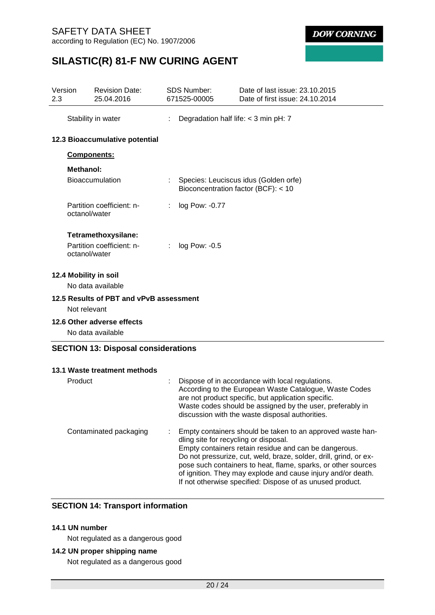# **SILASTIC(R) 81-F NW CURING AGENT**

| Version<br>2.3 |                  | <b>Revision Date:</b><br>25.04.2016        |    | <b>SDS Number:</b><br>671525-00005   | Date of last issue: 23.10.2015<br>Date of first issue: 24.10.2014                                          |
|----------------|------------------|--------------------------------------------|----|--------------------------------------|------------------------------------------------------------------------------------------------------------|
|                |                  | Stability in water                         |    | Degradation half life: < 3 min pH: 7 |                                                                                                            |
|                |                  | 12.3 Bioaccumulative potential             |    |                                      |                                                                                                            |
|                | Components:      |                                            |    |                                      |                                                                                                            |
|                | <b>Methanol:</b> |                                            |    |                                      |                                                                                                            |
|                |                  | <b>Bioaccumulation</b>                     | ÷. | Bioconcentration factor (BCF): < 10  | Species: Leuciscus idus (Golden orfe)                                                                      |
|                | octanol/water    | Partition coefficient: n-                  | t. | log Pow: -0.77                       |                                                                                                            |
|                |                  | Tetramethoxysilane:                        |    |                                      |                                                                                                            |
|                | octanol/water    | Partition coefficient: n-                  |    | log Pow: -0.5                        |                                                                                                            |
|                |                  | 12.4 Mobility in soil                      |    |                                      |                                                                                                            |
|                |                  | No data available                          |    |                                      |                                                                                                            |
|                |                  | 12.5 Results of PBT and vPvB assessment    |    |                                      |                                                                                                            |
|                | Not relevant     |                                            |    |                                      |                                                                                                            |
|                |                  | 12.6 Other adverse effects                 |    |                                      |                                                                                                            |
|                |                  | No data available                          |    |                                      |                                                                                                            |
|                |                  | <b>SECTION 13: Disposal considerations</b> |    |                                      |                                                                                                            |
|                |                  | 13.1 Waste treatment methods               |    |                                      |                                                                                                            |
|                | Product          |                                            |    |                                      | Dispose of in accordance with local regulations.<br>According to the European Waste Catalogue, Waste Codes |

# are not product specific, but application specific. Waste codes should be assigned by the user, preferably in discussion with the waste disposal authorities. Contaminated packaging : Empty containers should be taken to an approved waste handling site for recycling or disposal. Empty containers retain residue and can be dangerous. Do not pressurize, cut, weld, braze, solder, drill, grind, or expose such containers to heat, flame, sparks, or other sources of ignition. They may explode and cause injury and/or death. If not otherwise specified: Dispose of as unused product.

### **SECTION 14: Transport information**

## **14.1 UN number**

Not regulated as a dangerous good

### **14.2 UN proper shipping name**

Not regulated as a dangerous good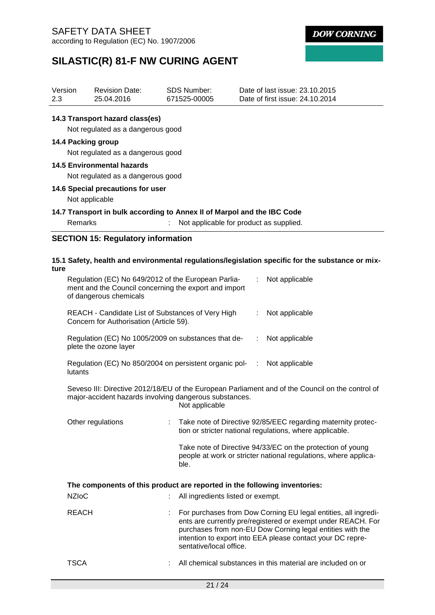Revision Date:

Version

**DOW CORNING** 

Date of last issue: 23.10.2015

# **SILASTIC(R) 81-F NW CURING AGENT**

SDS Number:

| 2.3  | 25.04.2016                                                                                                                             | 671525-00005                            |            | Date of first issue: 24.10.2014                                                                                                                                                                                                                           |  |
|------|----------------------------------------------------------------------------------------------------------------------------------------|-----------------------------------------|------------|-----------------------------------------------------------------------------------------------------------------------------------------------------------------------------------------------------------------------------------------------------------|--|
|      | 14.3 Transport hazard class(es)<br>Not regulated as a dangerous good                                                                   |                                         |            |                                                                                                                                                                                                                                                           |  |
|      | 14.4 Packing group<br>Not regulated as a dangerous good                                                                                |                                         |            |                                                                                                                                                                                                                                                           |  |
|      | <b>14.5 Environmental hazards</b><br>Not regulated as a dangerous good                                                                 |                                         |            |                                                                                                                                                                                                                                                           |  |
|      | 14.6 Special precautions for user<br>Not applicable                                                                                    |                                         |            |                                                                                                                                                                                                                                                           |  |
|      | 14.7 Transport in bulk according to Annex II of Marpol and the IBC Code                                                                |                                         |            |                                                                                                                                                                                                                                                           |  |
|      | Remarks                                                                                                                                | Not applicable for product as supplied. |            |                                                                                                                                                                                                                                                           |  |
|      | <b>SECTION 15: Regulatory information</b>                                                                                              |                                         |            |                                                                                                                                                                                                                                                           |  |
| ture |                                                                                                                                        |                                         |            | 15.1 Safety, health and environmental regulations/legislation specific for the substance or mix-                                                                                                                                                          |  |
|      | Regulation (EC) No 649/2012 of the European Parlia-<br>ment and the Council concerning the export and import<br>of dangerous chemicals |                                         |            | Not applicable                                                                                                                                                                                                                                            |  |
|      | REACH - Candidate List of Substances of Very High<br>Concern for Authorisation (Article 59).                                           |                                         |            | Not applicable                                                                                                                                                                                                                                            |  |
|      | Regulation (EC) No 1005/2009 on substances that de-<br>plete the ozone layer                                                           |                                         | ÷          | Not applicable                                                                                                                                                                                                                                            |  |
|      | Regulation (EC) No 850/2004 on persistent organic pol-<br>lutants                                                                      |                                         | $\sim 100$ | Not applicable                                                                                                                                                                                                                                            |  |
|      | major-accident hazards involving dangerous substances.                                                                                 | Not applicable                          |            | Seveso III: Directive 2012/18/EU of the European Parliament and of the Council on the control of                                                                                                                                                          |  |
|      | Other regulations                                                                                                                      |                                         |            | : Take note of Directive 92/85/EEC regarding maternity protec-<br>tion or stricter national regulations, where applicable.                                                                                                                                |  |
|      |                                                                                                                                        | ble.                                    |            | Take note of Directive 94/33/EC on the protection of young<br>people at work or stricter national regulations, where applica-                                                                                                                             |  |
|      | The components of this product are reported in the following inventories:                                                              |                                         |            |                                                                                                                                                                                                                                                           |  |
|      | <b>NZIoC</b>                                                                                                                           | All ingredients listed or exempt.       |            |                                                                                                                                                                                                                                                           |  |
|      | <b>REACH</b>                                                                                                                           | sentative/local office.                 |            | For purchases from Dow Corning EU legal entities, all ingredi-<br>ents are currently pre/registered or exempt under REACH. For<br>purchases from non-EU Dow Corning legal entities with the<br>intention to export into EEA please contact your DC repre- |  |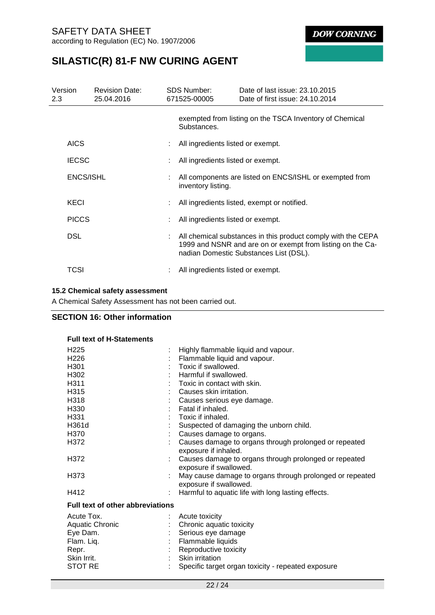# **SILASTIC(R) 81-F NW CURING AGENT**

| Version<br>2.3 <sup>2</sup> |              | <b>Revision Date:</b><br>25.04.2016 | <b>SDS Number:</b><br>671525-00005            | Date of last issue: 23.10.2015<br>Date of first issue: 24.10.2014                                                                                                    |  |
|-----------------------------|--------------|-------------------------------------|-----------------------------------------------|----------------------------------------------------------------------------------------------------------------------------------------------------------------------|--|
|                             |              |                                     | Substances.                                   | exempted from listing on the TSCA Inventory of Chemical                                                                                                              |  |
|                             | <b>AICS</b>  |                                     | : All ingredients listed or exempt.           |                                                                                                                                                                      |  |
|                             | <b>IECSC</b> |                                     | All ingredients listed or exempt.             |                                                                                                                                                                      |  |
|                             | ENCS/ISHL    |                                     | inventory listing.                            | All components are listed on ENCS/ISHL or exempted from                                                                                                              |  |
|                             | KECI         |                                     | : All ingredients listed, exempt or notified. |                                                                                                                                                                      |  |
|                             | <b>PICCS</b> |                                     | All ingredients listed or exempt.             |                                                                                                                                                                      |  |
|                             | DSL          |                                     |                                               | All chemical substances in this product comply with the CEPA<br>1999 and NSNR and are on or exempt from listing on the Ca-<br>nadian Domestic Substances List (DSL). |  |
|                             | TCSI         |                                     | All ingredients listed or exempt.             |                                                                                                                                                                      |  |

### **15.2 Chemical safety assessment**

A Chemical Safety Assessment has not been carried out.

## **SECTION 16: Other information**

| <b>Full text of H-Statements</b> |                                                                                    |
|----------------------------------|------------------------------------------------------------------------------------|
| H <sub>225</sub>                 | Highly flammable liquid and vapour.                                                |
| H <sub>226</sub>                 | Flammable liquid and vapour.                                                       |
| H <sub>301</sub>                 | Toxic if swallowed.                                                                |
| H <sub>302</sub>                 | Harmful if swallowed.                                                              |
| H311                             | Toxic in contact with skin.                                                        |
| H <sub>315</sub>                 | Causes skin irritation.                                                            |
| H <sub>318</sub>                 | Causes serious eye damage.                                                         |
| H330                             | Fatal if inhaled.                                                                  |
| H <sub>331</sub>                 | Toxic if inhaled.                                                                  |
| H361d                            | Suspected of damaging the unborn child.                                            |
| H370                             | Causes damage to organs.                                                           |
| H372                             | Causes damage to organs through prolonged or repeated<br>exposure if inhaled.      |
| H372                             | Causes damage to organs through prolonged or repeated<br>exposure if swallowed.    |
| H <sub>3</sub> 73                | May cause damage to organs through prolonged or repeated<br>exposure if swallowed. |
| H412                             | Harmful to aquatic life with long lasting effects.                                 |
| Full text of other abbreviations |                                                                                    |
| Acute Tox.                       | Acute toxicity                                                                     |
| Aquatic Chronic                  | Chronic aquatic toxicity                                                           |
| Eye Dam.                         | Serious eye damage                                                                 |
| Flam. Liq.                       | Flammable liquids                                                                  |
| Repr.                            | Reproductive toxicity                                                              |
| Skin Irrit.                      | Skin irritation                                                                    |
| <b>STOT RE</b>                   | Specific target organ toxicity - repeated exposure                                 |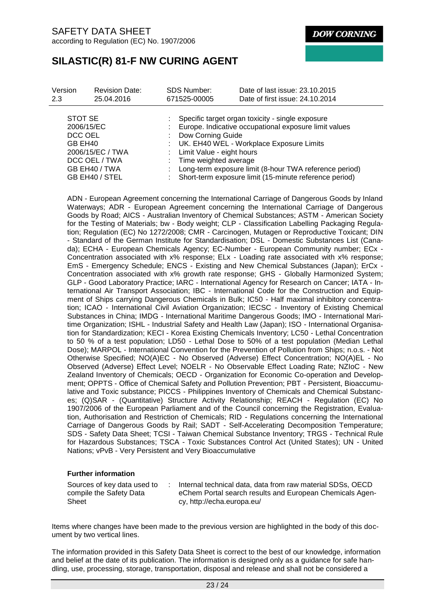# **SILASTIC(R) 81-F NW CURING AGENT**

| Version                       | <b>Revision Date:</b>                                                              | <b>SDS Number:</b>                                                          | Date of last issue: 23.10.2015                                                                                                                                                                                                                                                |
|-------------------------------|------------------------------------------------------------------------------------|-----------------------------------------------------------------------------|-------------------------------------------------------------------------------------------------------------------------------------------------------------------------------------------------------------------------------------------------------------------------------|
| 2.3                           | 25.04.2016                                                                         | 671525-00005                                                                | Date of first issue: 24.10.2014                                                                                                                                                                                                                                               |
| STOT SE<br>DCC OEL<br>GB EH40 | 2006/15/EC<br>2006/15/EC / TWA<br>DCC OEL / TWA<br>GB EH40 / TWA<br>GB EH40 / STEL | Dow Corning Guide<br>: Limit Value - eight hours<br>: Time weighted average | : Specific target organ toxicity - single exposure<br>Europe. Indicative occupational exposure limit values<br>: UK. EH40 WEL - Workplace Exposure Limits<br>Long-term exposure limit (8-hour TWA reference period)<br>Short-term exposure limit (15-minute reference period) |

ADN - European Agreement concerning the International Carriage of Dangerous Goods by Inland Waterways; ADR - European Agreement concerning the International Carriage of Dangerous Goods by Road; AICS - Australian Inventory of Chemical Substances; ASTM - American Society for the Testing of Materials; bw - Body weight; CLP - Classification Labelling Packaging Regulation; Regulation (EC) No 1272/2008; CMR - Carcinogen, Mutagen or Reproductive Toxicant; DIN - Standard of the German Institute for Standardisation; DSL - Domestic Substances List (Canada); ECHA - European Chemicals Agency; EC-Number - European Community number; ECx - Concentration associated with x% response; ELx - Loading rate associated with x% response; EmS - Emergency Schedule; ENCS - Existing and New Chemical Substances (Japan); ErCx - Concentration associated with x% growth rate response; GHS - Globally Harmonized System; GLP - Good Laboratory Practice; IARC - International Agency for Research on Cancer; IATA - International Air Transport Association; IBC - International Code for the Construction and Equipment of Ships carrying Dangerous Chemicals in Bulk; IC50 - Half maximal inhibitory concentration; ICAO - International Civil Aviation Organization; IECSC - Inventory of Existing Chemical Substances in China; IMDG - International Maritime Dangerous Goods; IMO - International Maritime Organization; ISHL - Industrial Safety and Health Law (Japan); ISO - International Organisation for Standardization; KECI - Korea Existing Chemicals Inventory; LC50 - Lethal Concentration to 50 % of a test population; LD50 - Lethal Dose to 50% of a test population (Median Lethal Dose); MARPOL - International Convention for the Prevention of Pollution from Ships; n.o.s. - Not Otherwise Specified; NO(A)EC - No Observed (Adverse) Effect Concentration; NO(A)EL - No Observed (Adverse) Effect Level; NOELR - No Observable Effect Loading Rate; NZIoC - New Zealand Inventory of Chemicals; OECD - Organization for Economic Co-operation and Development; OPPTS - Office of Chemical Safety and Pollution Prevention; PBT - Persistent, Bioaccumulative and Toxic substance; PICCS - Philippines Inventory of Chemicals and Chemical Substances; (Q)SAR - (Quantitative) Structure Activity Relationship; REACH - Regulation (EC) No 1907/2006 of the European Parliament and of the Council concerning the Registration, Evaluation, Authorisation and Restriction of Chemicals; RID - Regulations concerning the International Carriage of Dangerous Goods by Rail; SADT - Self-Accelerating Decomposition Temperature; SDS - Safety Data Sheet; TCSI - Taiwan Chemical Substance Inventory; TRGS - Technical Rule for Hazardous Substances; TSCA - Toxic Substances Control Act (United States); UN - United Nations; vPvB - Very Persistent and Very Bioaccumulative

### **Further information**

Sources of key data used to : Internal technical data, data from raw material SDSs, OECD compile the Safety Data Sheet eChem Portal search results and European Chemicals Agency, http://echa.europa.eu/

Items where changes have been made to the previous version are highlighted in the body of this document by two vertical lines.

The information provided in this Safety Data Sheet is correct to the best of our knowledge, information and belief at the date of its publication. The information is designed only as a guidance for safe handling, use, processing, storage, transportation, disposal and release and shall not be considered a